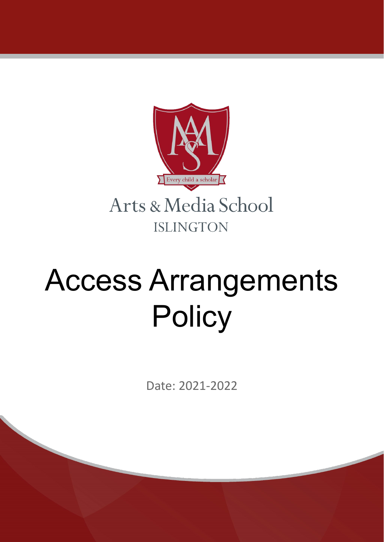

# Access Arrangements **Policy**

Date: 2021-2022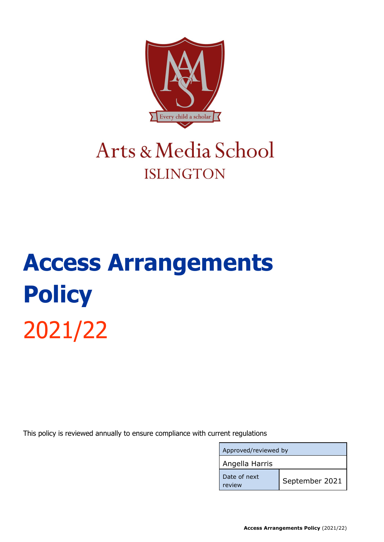

### Arts & Media School **ISLINGTON**

## **Access Arrangements Policy** 2021/22

This policy is reviewed annually to ensure compliance with current regulations

| Approved/reviewed by   |                |
|------------------------|----------------|
| Angella Harris         |                |
| Date of next<br>review | September 2021 |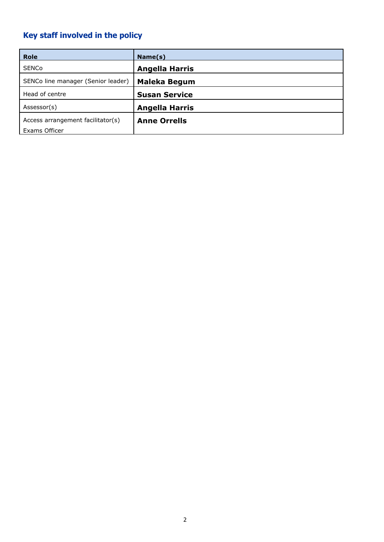### <span id="page-2-0"></span>**Key staff involved in the policy**

| <b>Role</b>                        | Name(s)               |
|------------------------------------|-----------------------|
| <b>SENCo</b>                       | <b>Angella Harris</b> |
| SENCo line manager (Senior leader) | <b>Maleka Begum</b>   |
| Head of centre                     | <b>Susan Service</b>  |
| Assessor(s)                        | <b>Angella Harris</b> |
| Access arrangement facilitator(s)  | <b>Anne Orrells</b>   |
| Exams Officer                      |                       |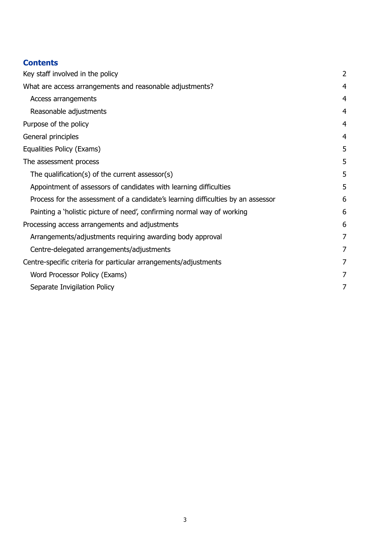#### **Contents**

| Key staff involved in the policy                                                 |                |
|----------------------------------------------------------------------------------|----------------|
| What are access arrangements and reasonable adjustments?                         | $\overline{4}$ |
| Access arrangements                                                              | 4              |
| Reasonable adjustments                                                           | $\overline{4}$ |
| Purpose of the policy                                                            | $\overline{4}$ |
| General principles                                                               | $\overline{4}$ |
| Equalities Policy (Exams)                                                        | 5              |
| The assessment process                                                           | 5              |
| The qualification(s) of the current assessor(s)                                  | 5              |
| Appointment of assessors of candidates with learning difficulties                | 5              |
| Process for the assessment of a candidate's learning difficulties by an assessor | 6              |
| Painting a 'holistic picture of need', confirming normal way of working          | 6              |
| Processing access arrangements and adjustments                                   |                |
| Arrangements/adjustments requiring awarding body approval                        | 7              |
| Centre-delegated arrangements/adjustments                                        | 7              |
| Centre-specific criteria for particular arrangements/adjustments                 |                |
| Word Processor Policy (Exams)                                                    | 7              |
| Separate Invigilation Policy                                                     | 7              |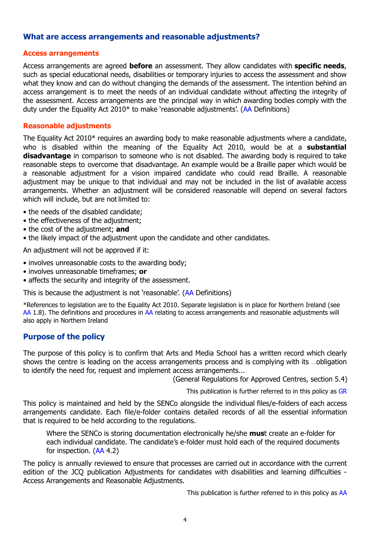#### <span id="page-4-0"></span>**What are access arrangements and reasonable adjustments?**

#### <span id="page-4-1"></span>**Access arrangements**

Access arrangements are agreed **before** an assessment. They allow candidates with **specific needs**, such as special educational needs, disabilities or temporary injuries to access the assessment and show what they know and can do without changing the demands of the assessment. The intention behind an access arrangement is to meet the needs of an individual candidate without affecting the integrity of the assessment. Access arrangements are the principal way in which awarding bodies comply with the duty under the Equality Act 2010\* to make 'reasonable adjustments'. ([AA](http://www.jcq.org.uk/exams-office/access-arrangements-and-special-consideration/regulations-and-guidance) Definitions)

#### <span id="page-4-2"></span>**Reasonable adjustments**

The Equality Act 2010\* requires an awarding body to make reasonable adjustments where a candidate, who is disabled within the meaning of the Equality Act 2010, would be at a **substantial disadvantage** in comparison to someone who is not disabled. The awarding body is required to take reasonable steps to overcome that disadvantage. An example would be a Braille paper which would be a reasonable adjustment for a vision impaired candidate who could read Braille. A reasonable adjustment may be unique to that individual and may not be included in the list of available access arrangements. Whether an adjustment will be considered reasonable will depend on several factors which will include, but are not limited to:

- the needs of the disabled candidate;
- the effectiveness of the adjustment;
- the cost of the adjustment; **and**
- the likely impact of the adjustment upon the candidate and other candidates.

An adjustment will not be approved if it:

- involves unreasonable costs to the awarding body;
- involves unreasonable timeframes; **or**
- affects the security and integrity of the assessment.

This is because the adjustment is not 'reasonable'. [\(AA](http://www.jcq.org.uk/exams-office/access-arrangements-and-special-consideration/regulations-and-guidance) Definitions)

\*References to legislation are to the Equality Act 2010. Separate legislation is in place for Northern Ireland (see [AA](http://www.jcq.org.uk/exams-office/access-arrangements-and-special-consideration/regulations-and-guidance) 1.8). The definitions and procedures in AA relating to access arrangements and reasonable adjustments will also apply in Northern Ireland

#### <span id="page-4-3"></span>**Purpose of the policy**

The purpose of this policy is to confirm that Arts and Media School has a written record which clearly shows the centre is leading on the access arrangements process and is complying with its …obligation to identify the need for, request and implement access arrangements...

(General Regulations for Approved Centres, section 5.4)

This publication is further referred to in this policy as [GR](http://www.jcq.org.uk/exams-office/general-regulations)

This policy is maintained and held by the SENCo alongside the individual files/e-folders of each access arrangements candidate. Each file/e-folder contains detailed records of all the essential information that is required to be held according to the regulations.

Where the SENCo is storing documentation electronically he/she **mus**t create an e-folder for each individual candidate. The candidate's e-folder must hold each of the required documents for inspection. [\(AA](http://www.jcq.org.uk/exams-office/access-arrangements-and-special-consideration/regulations-and-guidance) 4.2)

The policy is annually reviewed to ensure that processes are carried out in accordance with the current edition of the JCQ publication Adjustments for candidates with disabilities and learning difficulties - Access Arrangements and Reasonable Adjustments.

This publication is further referred to in this policy as [AA](http://www.jcq.org.uk/exams-office/access-arrangements-and-special-consideration/regulations-and-guidance)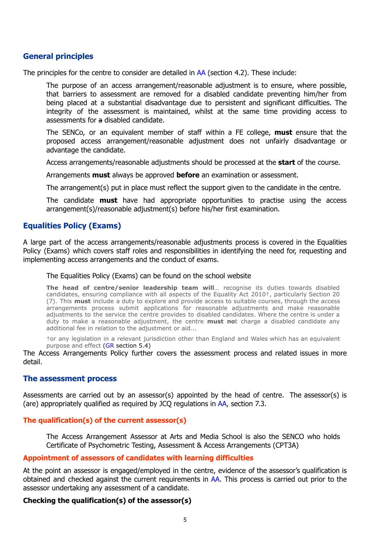#### <span id="page-5-0"></span>**General principles**

The principles for the centre to consider are detailed in [AA](http://www.jcq.org.uk/exams-office/access-arrangements-and-special-consideration/regulations-and-guidance) (section 4.2). These include:

The purpose of an access arrangement/reasonable adjustment is to ensure, where possible, that barriers to assessment are removed for a disabled candidate preventing him/her from being placed at a substantial disadvantage due to persistent and significant difficulties. The integrity of the assessment is maintained, whilst at the same time providing access to assessments for a disabled candidate.

The SENCo, or an equivalent member of staff within a FE college, **must** ensure that the proposed access arrangement/reasonable adjustment does not unfairly disadvantage or advantage the candidate.

Access arrangements/reasonable adjustments should be processed at the **start** of the course.

Arrangements **must** always be approved **before** an examination or assessment.

The arrangement(s) put in place must reflect the support given to the candidate in the centre.

The candidate **must** have had appropriate opportunities to practise using the access arrangement(s)/reasonable adjustment(s) before his/her first examination.

#### <span id="page-5-1"></span>**Equalities Policy (Exams)**

A large part of the access arrangements/reasonable adjustments process is covered in the Equalities Policy (Exams) which covers staff roles and responsibilities in identifying the need for, requesting and implementing access arrangements and the conduct of exams.

#### The Equalities Policy (Exams) can be found on the school website

**The head of centre/senior leadership team will**… recognise its duties towards disabled candidates, ensuring compliance with all aspects of the Equality Act 2010†, particularly Section 20 (7). This **must** include a duty to explore and provide access to suitable courses, through the access arrangements process submit applications for reasonable adjustments and make reasonable adjustments to the service the centre provides to disabled candidates. Where the centre is under a duty to make a reasonable adjustment, the centre **must no**t charge a disabled candidate any additional fee in relation to the adjustment or aid...

†or any legislation in a relevant jurisdiction other than England and Wales which has an equivalent purpose and effect ([GR](http://www.jcq.org.uk/exams-office/general-regulations) section 5.4)

The Access Arrangements Policy further covers the assessment process and related issues in more detail.

#### <span id="page-5-2"></span>**The assessment process**

Assessments are carried out by an assessor(s) appointed by the head of centre. The assessor(s) is (are) appropriately qualified as required by JCQ regulations in [AA,](http://www.jcq.org.uk/exams-office/access-arrangements-and-special-consideration/regulations-and-guidance) section 7.3.

#### <span id="page-5-3"></span>**The qualification(s) of the current assessor(s)**

The Access Arrangement Assessor at Arts and Media School is also the SENCO who holds Certificate of Psychometric Testing, Assessment & Access Arrangements (CPT3A)

#### <span id="page-5-4"></span>**Appointment of assessors of candidates with learning difficulties**

At the point an assessor is engaged/employed in the centre, evidence of the assessor's qualification is obtained and checked against the current requirements in [AA.](http://www.jcq.org.uk/exams-office/access-arrangements-and-special-consideration/regulations-and-guidance) This process is carried out prior to the assessor undertaking any assessment of a candidate.

#### **Checking the qualification(s) of the assessor(s)**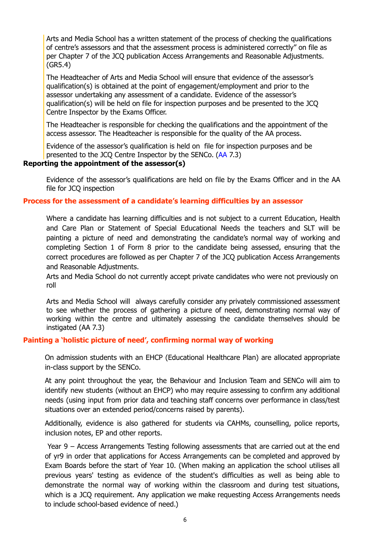Arts and Media School has a written statement of the process of checking the qualifications of centre's assessors and that the assessment process is administered correctly" on file as per Chapter 7 of the JCQ publication Access Arrangements and Reasonable Adjustments. (GR5.4)

The Headteacher of Arts and Media School will ensure that evidence of the assessor's qualification(s) is obtained at the point of engagement/employment and prior to the assessor undertaking any assessment of a candidate. Evidence of the assessor's qualification(s) will be held on file for inspection purposes and be presented to the JCQ Centre Inspector by the Exams Officer.

The Headteacher is responsible for checking the qualifications and the appointment of the access assessor. The Headteacher is responsible for the quality of the AA process.

Evidence of the assessor's qualification is held on file for inspection purposes and be presented to the JCQ Centre Inspector by the SENCo. [\(AA](http://www.jcq.org.uk/exams-office/access-arrangements-and-special-consideration/regulations-and-guidance) 7.3)

#### **Reporting the appointment of the assessor(s)**

Evidence of the assessor's qualifications are held on file by the Exams Officer and in the AA file for JCQ inspection

#### <span id="page-6-0"></span>**Process for the assessment of a candidate's learning difficulties by an assessor**

Where a candidate has learning difficulties and is not subject to a current Education, Health and Care Plan or Statement of Special Educational Needs the teachers and SLT will be painting a picture of need and demonstrating the candidate's normal way of working and completing Section 1 of Form 8 prior to the candidate being assessed, ensuring that the correct procedures are followed as per Chapter 7 of the JCQ publication Access Arrangements and Reasonable Adjustments.

Arts and Media School do not currently accept private candidates who were not previously on roll

Arts and Media School will always carefully consider any privately commissioned assessment to see whether the process of gathering a picture of need, demonstrating normal way of working within the centre and ultimately assessing the candidate themselves should be instigated ([AA](http://www.jcq.org.uk/exams-office/access-arrangements-and-special-consideration/regulations-and-guidance) 7.3)

#### <span id="page-6-1"></span>**Painting a 'holistic picture of need', confirming normal way of working**

On admission students with an EHCP (Educational Healthcare Plan) are allocated appropriate in-class support by the SENCo.

At any point throughout the year, the Behaviour and Inclusion Team and SENCo will aim to identify new students (without an EHCP) who may require assessing to confirm any additional needs (using input from prior data and teaching staff concerns over performance in class/test situations over an extended period/concerns raised by parents).

Additionally, evidence is also gathered for students via CAHMs, counselling, police reports, inclusion notes, EP and other reports.

Year 9 – Access Arrangements Testing following assessments that are carried out at the end of yr9 in order that applications for Access Arrangements can be completed and approved by Exam Boards before the start of Year 10. (When making an application the school utilises all previous years' testing as evidence of the student's difficulties as well as being able to demonstrate the normal way of working within the classroom and during test situations, which is a JCQ requirement. Any application we make requesting Access Arrangements needs to include school-based evidence of need.)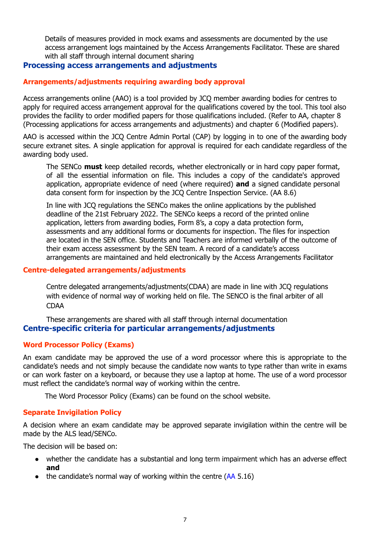Details of measures provided in mock exams and assessments are documented by the use access arrangement logs maintained by the Access Arrangements Facilitator. These are shared with all staff through internal document sharing

#### <span id="page-7-0"></span>**Processing access arrangements and adjustments**

#### <span id="page-7-1"></span>**Arrangements/adjustments requiring awarding body approval**

Access arrangements online (AAO) is a tool provided by JCQ member awarding bodies for centres to apply for required access arrangement approval for the qualifications covered by the tool. This tool also provides the facility to order modified papers for those qualifications included. (Refer to [AA](http://www.jcq.org.uk/exams-office/access-arrangements-and-special-consideration/regulations-and-guidance), chapter 8 (Processing applications for access arrangements and adjustments) and chapter 6 (Modified papers).

AAO is accessed within the JCQ Centre Admin Portal (CAP) by logging in to one of the awarding body secure extranet sites. A single application for approval is required for each candidate regardless of the awarding body used.

The SENCo **must** keep detailed records, whether electronically or in hard copy paper format, of all the essential information on file. This includes a copy of the candidate's approved application, appropriate evidence of need (where required) **and** a signed candidate personal data consent form for inspection by the JCQ Centre Inspection Service. ([AA](http://www.jcq.org.uk/exams-office/access-arrangements-and-special-consideration/regulations-and-guidance) 8.6)

In line with JCQ regulations the SENCo makes the online applications by the published deadline of the 21st February 2022. The SENCo keeps a record of the printed online application, letters from awarding bodies, Form 8's, a copy a data protection form, assessments and any additional forms or documents for inspection. The files for inspection are located in the SEN office. Students and Teachers are informed verbally of the outcome of their exam access assessment by the SEN team. A record of a candidate's access arrangements are maintained and held electronically by the Access Arrangements Facilitator

#### <span id="page-7-2"></span>**Centre-delegated arrangements/adjustments**

Centre delegated arrangements/adjustments(CDAA) are made in line with JCQ regulations with evidence of normal way of working held on file. The SENCO is the final arbiter of all CDAA

<span id="page-7-3"></span>These arrangements are shared with all staff through internal documentation **Centre-specific criteria for particular arrangements/adjustments**

#### <span id="page-7-4"></span>**Word Processor Policy (Exams)**

An exam candidate may be approved the use of a word processor where this is appropriate to the candidate's needs and not simply because the candidate now wants to type rather than write in exams or can work faster on a keyboard, or because they use a laptop at home. The use of a word processor must reflect the candidate's normal way of working within the centre.

The Word Processor Policy (Exams) can be found on the school website.

#### <span id="page-7-5"></span>**Separate Invigilation Policy**

A decision where an exam candidate may be approved separate invigilation within the centre will be made by the ALS lead/SENCo.

The decision will be based on:

- whether the candidate has a substantial and long term impairment which has an adverse effect **and**
- $\bullet$  the candidate's normal way of working within the centre [\(AA](http://www.jcq.org.uk/exams-office/access-arrangements-and-special-consideration) 5.16)